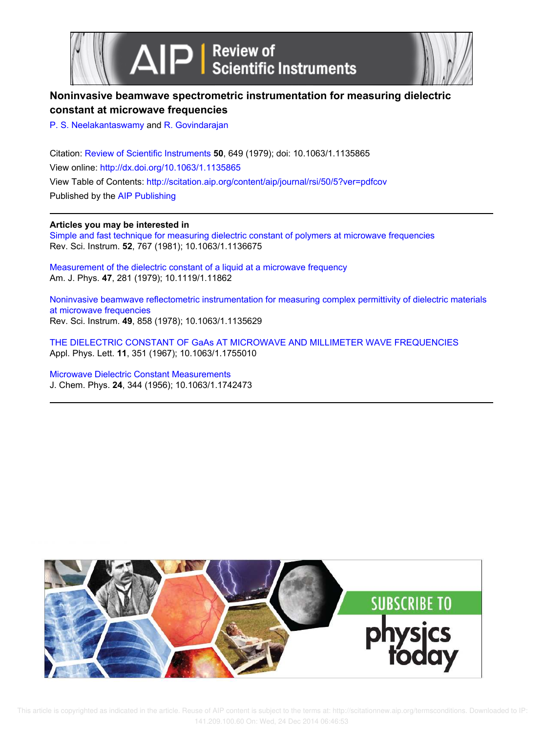



## **Noninvasive beamwave spectrometric instrumentation for measuring dielectric constant at microwave frequencies**

P. S. Neelakantaswamy and R. Govindarajan

Citation: Review of Scientific Instruments **50**, 649 (1979); doi: 10.1063/1.1135865 View online: http://dx.doi.org/10.1063/1.1135865 View Table of Contents: http://scitation.aip.org/content/aip/journal/rsi/50/5?ver=pdfcov Published by the AIP Publishing

**Articles you may be interested in**

Simple and fast technique for measuring dielectric constant of polymers at microwave frequencies Rev. Sci. Instrum. **52**, 767 (1981); 10.1063/1.1136675

Measurement of the dielectric constant of a liquid at a microwave frequency Am. J. Phys. **47**, 281 (1979); 10.1119/1.11862

Noninvasive beamwave reflectometric instrumentation for measuring complex permittivity of dielectric materials at microwave frequencies Rev. Sci. Instrum. **49**, 858 (1978); 10.1063/1.1135629

THE DIELECTRIC CONSTANT OF GaAs AT MICROWAVE AND MILLIMETER WAVE FREQUENCIES Appl. Phys. Lett. **11**, 351 (1967); 10.1063/1.1755010

Microwave Dielectric Constant Measurements J. Chem. Phys. **24**, 344 (1956); 10.1063/1.1742473



This article is copyrighted as indicated in the article. Reuse of AIP content is subject to the terms at: http://scitationnew.aip.org/termsconditions. Downloaded to IP: 141.209.100.60 On: Wed, 24 Dec 2014 06:46:53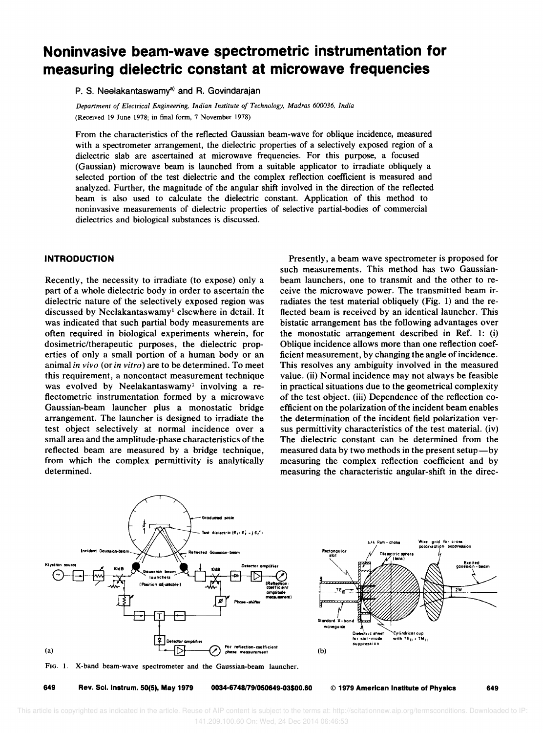# **Noninvasive beam-wave spectrometric instrumentation for measuring dielectric constant at microwave frequencies**

P. S. Neelakantaswamy<sup>a)</sup> and R. Govindarajan

*Department of Electrical Engineering. Indian Institute of Technology. Madras 600036. India*  (Received 19 June 1978; in final form, 7 November 1978)

From the characteristics of the reflected Gaussian beam-wave for oblique incidence, measured with a spectrometer arrangement, the dielectric properties of a selectively exposed region of a dielectric slab are ascertained at microwave frequencies. For this purpose, a focused (Gaussian) microwave beam is launched from a suitable applicator to irradiate obliquely a selected portion of the test dielectric and the complex reflection coefficient is measured and analyzed. Further, the magnitude of the angular shift involved in the direction of the reflected beam is also used to calculate the dielectric constant. Application of this method to noninvasive measurements of dielectric properties of selective partial-bodies of commercial dielectrics and biological substances is discussed.

### INTRODUCTION

Recently, the necessity to irradiate (to expose) only a part of a whole dielectric body in order to ascertain the dielectric nature of the selectively exposed region was discussed by Neelakantaswamy<sup>1</sup> elsewhere in detail. It was indicated that such partial body measurements are often required in biological experiments wherein, for dosimetric/therapeutic purposes, the dielectric properties of only a small portion of a human body or an animal in vivo (or in vitro) are to be determined. To meet this requirement, a noncontact measurement technique was evolved by Neelakantaswamy<sup>1</sup> involving a reflectometric instrumentation formed by a microwave Gaussian-beam launcher plus a monostatic bridge arrangement. The launcher is designed to irradiate the test object selectively at normal incidence over a small area and the amplitude-phase characteristics of the reflected beam are measured by a bridge technique, from which the complex permittivity is analytically determined.

Presently, a beam wave spectrometer is proposed for such measurements. This method has two Gaussianbeam launchers, one to transmit and the other to receive the microwave power. The transmitted beam irradiates the test material obliquely (Fig. I) and the reflected beam is received by an identical launcher. This bistatic arrangement has the following advantages over the monostatic arrangement described in Ref. 1:  $(i)$ Oblique incidence allows more than one reflection coefficient measurement, by changing the angle of incidence. This resolves any ambiguity involved in the measured value. (ii) Normal incidence may not always be feasible in practical situations due to the geometrical complexity of the test object. (iii) Dependence of the reflection coefficient on the polarization of the incident beam enables the determination of the incident field polarization versus permittivity characteristics of the test material. (iv) The dielectric constant can be determined from the measured data by two methods in the present setup-by measuring the complex reflection coefficient and by measuring the characteristic angular-shift in the direc-





649 Rev. Sci. Instrum. 50(5), May 1979 0034-6748/79/050649-03\$00.60 © 1979 American Institute of Physics 649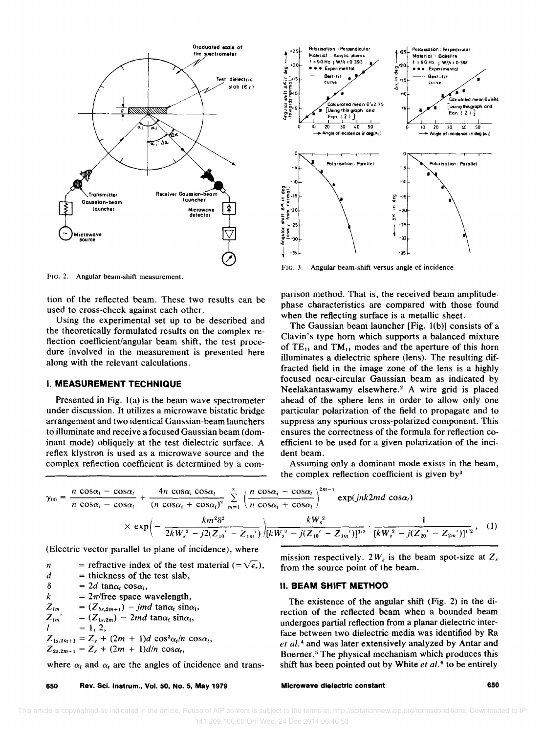

FIG. 2. Angular beam-shift measurement.

tion of the reflected beam. These two results can be used to cross-check against each other.

Using the experimental set up to be described and the theoretically formulated results on the complex reflection coefficient/angular beam shift, the test procedure involved in the measurement is presented here along with the relevant calculations.

#### **I. MEASUREMENT TECHNIQUE**

Presented in Fig. 1(a) is the beam wave spectrometer under discussion. It utilizes a microwave bistatic bridge arrangement and two identical Gaussian-beam launchers to illuminate and receive a focused Gaussian beam (dominant mode) obliquely at the test dielectric surface. A reflex klystron is used as a microwave source and the complex reflection coefficient is determined by a com-



FIG. 3. Angular beam-shift versus angle of incidence.

parison method. That is, the received beam amplitudephase characteristics are compared with those found when the reflecting surface is a metallic sheet.

The Gaussian beam launcher [Fig.  $1(b)$ ] consists of a Clavin's type horn which supports a balanced mixture of  $TE_{11}$  and  $TM_{11}$  modes and the aperture of this horn illuminates a dielectric sphere (lens). The resulting diffracted field in the image zone of the lens is a highly focused near-circular Gaussian beam as indicated by Neelakantaswamy elsewhere.<sup>2</sup> A wire grid is placed ahead of the sphere lens in order to allow only one particular polarization of the field to propagate and to suppress any spurious cross-polarized component. This ensures the correctness of the formula for reflection coefficient to be used for a given polarization of the incident beam.

Assuming only a dominant mode exists in the beam, the complex reflection coefficient is given by<sup>3</sup>

$$
\gamma_{00} = \frac{n \cos \alpha_i - \cos \alpha_t}{n \cos \alpha_i - \cos \alpha_t} + \frac{4n \cos \alpha_i \cos \alpha_t}{(n \cos \alpha_i + \cos \alpha_t)^2} \sum_{m=1}^{\infty} \left( \frac{n \cos \alpha_i - \cos \alpha_t}{n \cos \alpha_i + \cos \alpha_t} \right)^{2m-1} \exp(jnk2md \cos \alpha_t)
$$
  
 
$$
\times \exp\left(-\frac{km^2 \delta^2}{2kW_s^2 - j2(Z_{10}' - Z_{1m'})}\right) \frac{kW_s^2}{[kW_s^2 - j(Z_{10}' - Z_{1m'})]^{1/2}} \cdot \frac{1}{[kW_s^2 - j(Z_{20}' - Z_{2m'})]^{1/2}},
$$
 (1)

(Electric vector parallel to plane of incidence), where

= refractive index of the test material (= $\sqrt{\epsilon_r}$ ),  $\overline{n}$  $\boldsymbol{d}$ = thickness of the test slab,  $\delta$  $= 2d \tan \alpha_i \cos \alpha_i$  $\boldsymbol{k}$  $= 2\pi$ /free space wavelength,  $Z_{lm}$  $=(Z_{bs,2m+1})$  – jmd tan $\alpha_i$  sin $\alpha_i$ ,  $Z_{\ell m}$  $=(Z_{1s,2m})$  – 2md tan $\alpha_i$  sin $\alpha_i$ ,  $\overline{I}$  $= 1, 2,$  $Z_{1s,2m+1} = Z_s + (2m + 1)d \cos^2 \alpha_i/n \cos \alpha_i$  $Z_{2s,2m+1} = Z_s + (2m + 1)d/n \cos \alpha_t$ 

where  $\alpha_i$  and  $\alpha_t$  are the angles of incidence and trans-

650 Rev. Sci. Instrum., Vol. 50, No. 5, May 1979 mission respectively. 2 $W_s$  is the beam spot-size at  $Z_s$ from the source point of the beam.

#### **II. BEAM SHIFT METHOD**

The existence of the angular shift (Fig. 2) in the direction of the reflected beam when a bounded beam undergoes partial reflection from a planar dielectric interface between two dielectric media was identified by Ra et al.<sup>4</sup> and was later extensively analyzed by Antar and Boerner.<sup>5</sup> The physical mechanism which produces this shift has been pointed out by White et al.<sup>6</sup> to be entirely

Microwave dielectric constant